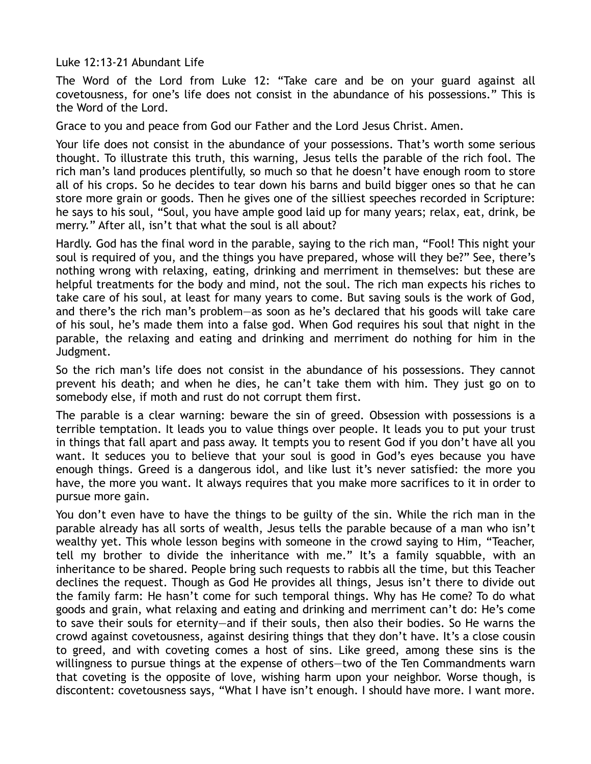Luke 12:13-21 Abundant Life

The Word of the Lord from Luke 12: "Take care and be on your guard against all covetousness, for one's life does not consist in the abundance of his possessions." This is the Word of the Lord.

Grace to you and peace from God our Father and the Lord Jesus Christ. Amen.

Your life does not consist in the abundance of your possessions. That's worth some serious thought. To illustrate this truth, this warning, Jesus tells the parable of the rich fool. The rich man's land produces plentifully, so much so that he doesn't have enough room to store all of his crops. So he decides to tear down his barns and build bigger ones so that he can store more grain or goods. Then he gives one of the silliest speeches recorded in Scripture: he says to his soul, "Soul, you have ample good laid up for many years; relax, eat, drink, be merry." After all, isn't that what the soul is all about?

Hardly. God has the final word in the parable, saying to the rich man, "Fool! This night your soul is required of you, and the things you have prepared, whose will they be?" See, there's nothing wrong with relaxing, eating, drinking and merriment in themselves: but these are helpful treatments for the body and mind, not the soul. The rich man expects his riches to take care of his soul, at least for many years to come. But saving souls is the work of God, and there's the rich man's problem—as soon as he's declared that his goods will take care of his soul, he's made them into a false god. When God requires his soul that night in the parable, the relaxing and eating and drinking and merriment do nothing for him in the Judgment.

So the rich man's life does not consist in the abundance of his possessions. They cannot prevent his death; and when he dies, he can't take them with him. They just go on to somebody else, if moth and rust do not corrupt them first.

The parable is a clear warning: beware the sin of greed. Obsession with possessions is a terrible temptation. It leads you to value things over people. It leads you to put your trust in things that fall apart and pass away. It tempts you to resent God if you don't have all you want. It seduces you to believe that your soul is good in God's eyes because you have enough things. Greed is a dangerous idol, and like lust it's never satisfied: the more you have, the more you want. It always requires that you make more sacrifices to it in order to pursue more gain.

You don't even have to have the things to be guilty of the sin. While the rich man in the parable already has all sorts of wealth, Jesus tells the parable because of a man who isn't wealthy yet. This whole lesson begins with someone in the crowd saying to Him, "Teacher, tell my brother to divide the inheritance with me." It's a family squabble, with an inheritance to be shared. People bring such requests to rabbis all the time, but this Teacher declines the request. Though as God He provides all things, Jesus isn't there to divide out the family farm: He hasn't come for such temporal things. Why has He come? To do what goods and grain, what relaxing and eating and drinking and merriment can't do: He's come to save their souls for eternity—and if their souls, then also their bodies. So He warns the crowd against covetousness, against desiring things that they don't have. It's a close cousin to greed, and with coveting comes a host of sins. Like greed, among these sins is the willingness to pursue things at the expense of others—two of the Ten Commandments warn that coveting is the opposite of love, wishing harm upon your neighbor. Worse though, is discontent: covetousness says, "What I have isn't enough. I should have more. I want more.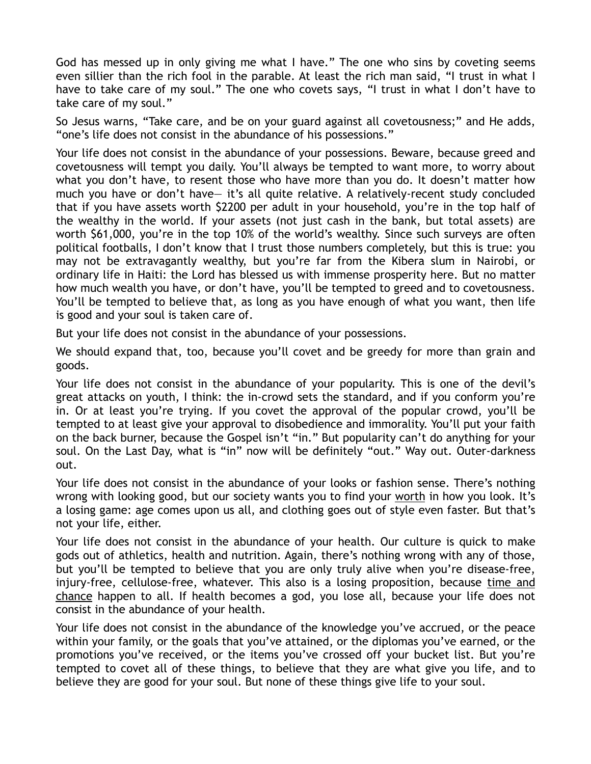God has messed up in only giving me what I have." The one who sins by coveting seems even sillier than the rich fool in the parable. At least the rich man said, "I trust in what I have to take care of my soul." The one who covets says, "I trust in what I don't have to take care of my soul."

So Jesus warns, "Take care, and be on your guard against all covetousness;" and He adds, "one's life does not consist in the abundance of his possessions."

Your life does not consist in the abundance of your possessions. Beware, because greed and covetousness will tempt you daily. You'll always be tempted to want more, to worry about what you don't have, to resent those who have more than you do. It doesn't matter how much you have or don't have— it's all quite relative. A relatively-recent study concluded that if you have assets worth \$2200 per adult in your household, you're in the top half of the wealthy in the world. If your assets (not just cash in the bank, but total assets) are worth \$61,000, you're in the top 10% of the world's wealthy. Since such surveys are often political footballs, I don't know that I trust those numbers completely, but this is true: you may not be extravagantly wealthy, but you're far from the Kibera slum in Nairobi, or ordinary life in Haiti: the Lord has blessed us with immense prosperity here. But no matter how much wealth you have, or don't have, you'll be tempted to greed and to covetousness. You'll be tempted to believe that, as long as you have enough of what you want, then life is good and your soul is taken care of.

But your life does not consist in the abundance of your possessions.

We should expand that, too, because you'll covet and be greedy for more than grain and goods.

Your life does not consist in the abundance of your popularity. This is one of the devil's great attacks on youth, I think: the in-crowd sets the standard, and if you conform you're in. Or at least you're trying. If you covet the approval of the popular crowd, you'll be tempted to at least give your approval to disobedience and immorality. You'll put your faith on the back burner, because the Gospel isn't "in." But popularity can't do anything for your soul. On the Last Day, what is "in" now will be definitely "out." Way out. Outer-darkness out.

Your life does not consist in the abundance of your looks or fashion sense. There's nothing wrong with looking good, but our society wants you to find your worth in how you look. It's a losing game: age comes upon us all, and clothing goes out of style even faster. But that's not your life, either.

Your life does not consist in the abundance of your health. Our culture is quick to make gods out of athletics, health and nutrition. Again, there's nothing wrong with any of those, but you'll be tempted to believe that you are only truly alive when you're disease-free, injury-free, cellulose-free, whatever. This also is a losing proposition, because time and chance happen to all. If health becomes a god, you lose all, because your life does not consist in the abundance of your health.

Your life does not consist in the abundance of the knowledge you've accrued, or the peace within your family, or the goals that you've attained, or the diplomas you've earned, or the promotions you've received, or the items you've crossed off your bucket list. But you're tempted to covet all of these things, to believe that they are what give you life, and to believe they are good for your soul. But none of these things give life to your soul.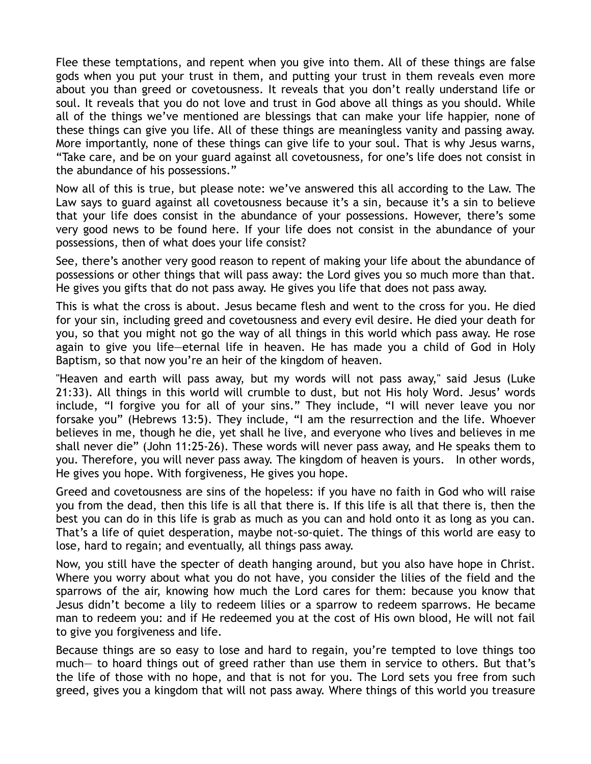Flee these temptations, and repent when you give into them. All of these things are false gods when you put your trust in them, and putting your trust in them reveals even more about you than greed or covetousness. It reveals that you don't really understand life or soul. It reveals that you do not love and trust in God above all things as you should. While all of the things we've mentioned are blessings that can make your life happier, none of these things can give you life. All of these things are meaningless vanity and passing away. More importantly, none of these things can give life to your soul. That is why Jesus warns, "Take care, and be on your guard against all covetousness, for one's life does not consist in the abundance of his possessions."

Now all of this is true, but please note: we've answered this all according to the Law. The Law says to guard against all covetousness because it's a sin, because it's a sin to believe that your life does consist in the abundance of your possessions. However, there's some very good news to be found here. If your life does not consist in the abundance of your possessions, then of what does your life consist?

See, there's another very good reason to repent of making your life about the abundance of possessions or other things that will pass away: the Lord gives you so much more than that. He gives you gifts that do not pass away. He gives you life that does not pass away.

This is what the cross is about. Jesus became flesh and went to the cross for you. He died for your sin, including greed and covetousness and every evil desire. He died your death for you, so that you might not go the way of all things in this world which pass away. He rose again to give you life—eternal life in heaven. He has made you a child of God in Holy Baptism, so that now you're an heir of the kingdom of heaven.

"Heaven and earth will pass away, but my words will not pass away," said Jesus (Luke 21:33). All things in this world will crumble to dust, but not His holy Word. Jesus' words include, "I forgive you for all of your sins." They include, "I will never leave you nor forsake you" (Hebrews 13:5). They include, "I am the resurrection and the life. Whoever believes in me, though he die, yet shall he live, and everyone who lives and believes in me shall never die" (John 11:25-26). These words will never pass away, and He speaks them to you. Therefore, you will never pass away. The kingdom of heaven is yours. In other words, He gives you hope. With forgiveness, He gives you hope.

Greed and covetousness are sins of the hopeless: if you have no faith in God who will raise you from the dead, then this life is all that there is. If this life is all that there is, then the best you can do in this life is grab as much as you can and hold onto it as long as you can. That's a life of quiet desperation, maybe not-so-quiet. The things of this world are easy to lose, hard to regain; and eventually, all things pass away.

Now, you still have the specter of death hanging around, but you also have hope in Christ. Where you worry about what you do not have, you consider the lilies of the field and the sparrows of the air, knowing how much the Lord cares for them: because you know that Jesus didn't become a lily to redeem lilies or a sparrow to redeem sparrows. He became man to redeem you: and if He redeemed you at the cost of His own blood, He will not fail to give you forgiveness and life.

Because things are so easy to lose and hard to regain, you're tempted to love things too much— to hoard things out of greed rather than use them in service to others. But that's the life of those with no hope, and that is not for you. The Lord sets you free from such greed, gives you a kingdom that will not pass away. Where things of this world you treasure